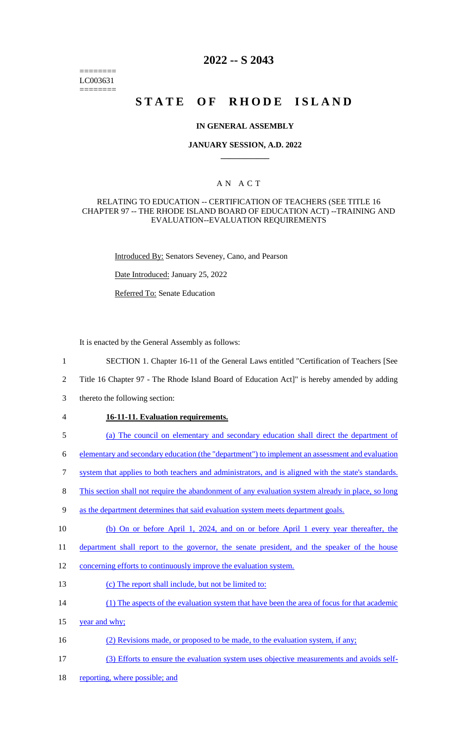======== LC003631 ========

## **2022 -- S 2043**

# **STATE OF RHODE ISLAND**

#### **IN GENERAL ASSEMBLY**

#### **JANUARY SESSION, A.D. 2022 \_\_\_\_\_\_\_\_\_\_\_\_**

### A N A C T

#### RELATING TO EDUCATION -- CERTIFICATION OF TEACHERS (SEE TITLE 16 CHAPTER 97 -- THE RHODE ISLAND BOARD OF EDUCATION ACT) --TRAINING AND EVALUATION--EVALUATION REQUIREMENTS

Introduced By: Senators Seveney, Cano, and Pearson

Date Introduced: January 25, 2022

Referred To: Senate Education

It is enacted by the General Assembly as follows:

- 1 SECTION 1. Chapter 16-11 of the General Laws entitled "Certification of Teachers [See
- 2 Title 16 Chapter 97 The Rhode Island Board of Education Act]" is hereby amended by adding
- 3 thereto the following section:
- 4 **16-11-11. Evaluation requirements.**
- 5 (a) The council on elementary and secondary education shall direct the department of

6 elementary and secondary education (the "department") to implement an assessment and evaluation

- 7 system that applies to both teachers and administrators, and is aligned with the state's standards.
- 8 This section shall not require the abandonment of any evaluation system already in place, so long
- 9 as the department determines that said evaluation system meets department goals.
- 10 (b) On or before April 1, 2024, and on or before April 1 every year thereafter, the
- 11 department shall report to the governor, the senate president, and the speaker of the house
- 12 concerning efforts to continuously improve the evaluation system.
- 13 (c) The report shall include, but not be limited to:
- 14 (1) The aspects of the evaluation system that have been the area of focus for that academic
- 15 year and why;
- 16 (2) Revisions made, or proposed to be made, to the evaluation system, if any;
- 17 (3) Efforts to ensure the evaluation system uses objective measurements and avoids self-
- 18 reporting, where possible; and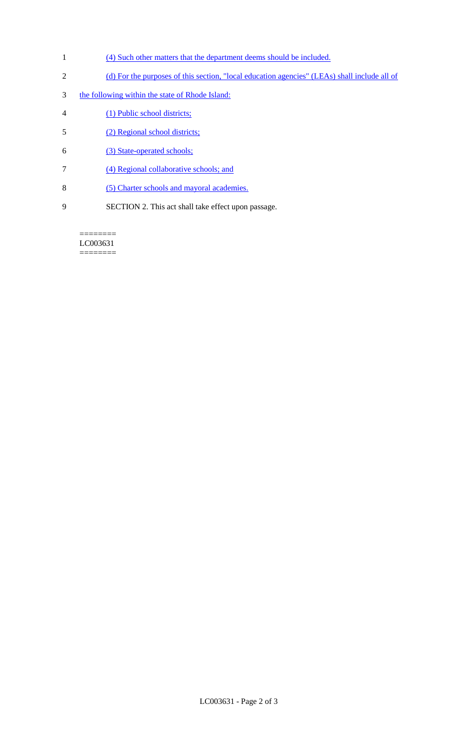- 1 (4) Such other matters that the department deems should be included.
- 2 (d) For the purposes of this section, "local education agencies" (LEAs) shall include all of
- 3 the following within the state of Rhode Island:
- 4 (1) Public school districts;
- 5 (2) Regional school districts;
- 6 (3) State-operated schools;
- 7 (4) Regional collaborative schools; and
- 8 (5) Charter schools and mayoral academies.
- 9 SECTION 2. This act shall take effect upon passage.

======== LC003631 ========